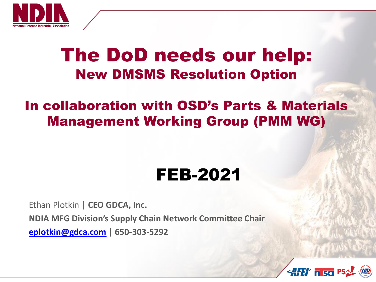

### The DoD needs our help: New DMSMS Resolution Option

### In collaboration with OSD's Parts & Materials Management Working Group (PMM WG)

### FEB-2021

Ethan Plotkin | **CEO GDCA, Inc.**

**NDIA MFG Division's Supply Chain Network Committee Chair** 

**[eplotkin@gdca.com](mailto:eplotkin@gdca.com) | 650-303-5292**

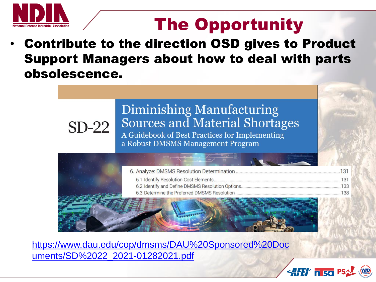

## The Opportunity

• Contribute to the direction OSD gives to Product Support Managers about how to deal with parts obsolescence.



[https://www.dau.edu/cop/dmsms/DAU%20Sponsored%20Doc](https://www.dau.edu/cop/dmsms/DAU%20Sponsored%20Documents/SD%2022_2021-01282021.pdf) uments/SD%2022\_2021-01282021.pdf

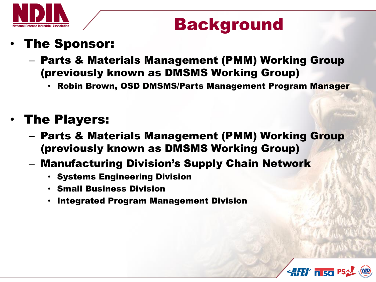

### Background

### • The Sponsor:

- Parts & Materials Management (PMM) Working Group (previously known as DMSMS Working Group)
	- Robin Brown, OSD DMSMS/Parts Management Program Manager

### • The Players:

- Parts & Materials Management (PMM) Working Group (previously known as DMSMS Working Group)
- Manufacturing Division's Supply Chain Network
	- Systems Engineering Division
	- Small Business Division
	- Integrated Program Management Division

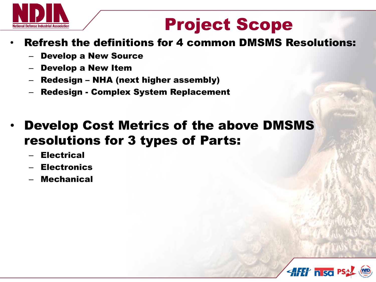

## Project Scope

### • Refresh the definitions for 4 common DMSMS Resolutions:

- Develop a New Source
- Develop a New Item
- Redesign NHA (next higher assembly)
- Redesign Complex System Replacement
- Develop Cost Metrics of the above DMSMS resolutions for 3 types of Parts:
	- **Electrical**
	- **Electronics**
	- **Mechanical**

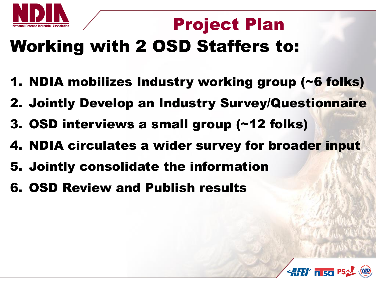

## Project Plan

# Working with 2 OSD Staffers to:

- 1. NDIA mobilizes Industry working group (~6 folks)
- 2. Jointly Develop an Industry Survey/Questionnaire
- 3. OSD interviews a small group (~12 folks)
- 4. NDIA circulates a wider survey for broader input
- 5. Jointly consolidate the information
- 6. OSD Review and Publish results

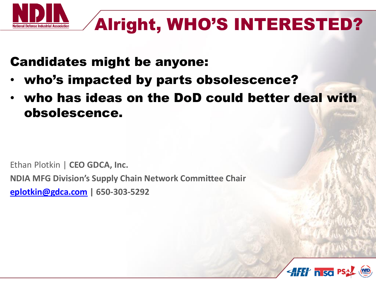

## Alright, WHO'S INTERESTED?

### Candidates might be anyone:

- who's impacted by parts obsolescence?
- who has ideas on the DoD could better deal with obsolescence.

Ethan Plotkin | **CEO GDCA, Inc. NDIA MFG Division's Supply Chain Network Committee Chair [eplotkin@gdca.com](mailto:eplotkin@gdca.com) | 650-303-5292**

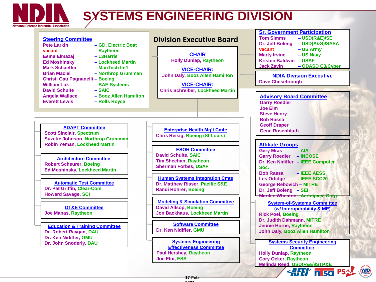

### **SYSTEMS ENGINEERING DIVISION**

| <b>Steering Committee</b><br><b>Pete Larkin</b><br>- GD, Electric Boat<br>- Raytheon<br>vacant<br>- L3Harris<br><b>Esma Elmazaj</b><br><b>Ed Moshinsky</b><br>- Lockheed Martin<br><b>Mark Schaeffer</b><br>$-$ ManTech Int'l<br><b>Brian Maciel</b><br>- Northrop Grumman<br>Christi Gau Pagnanelli - Boeing<br><b>William Luk</b><br>- BAE Systems | <b>Division Executive Board</b><br><b>CHAIR</b><br><b>Holly Dunlap, Raytheon</b><br><b>VICE-CHAIR:</b><br>John Daly, Booz Allen Hamilton<br><b>VICE-CHAIR:</b> | <b>Sr. Government Participation</b><br><b>Tom Simms</b><br>$-$ USD(R&E)/SE<br>Dr. Jeff Boleng<br>- USD(A&S)/SASA<br>- US Army<br>vacant<br>- US Navy<br><b>Marty Irvine</b><br>Kristen Baldwin - USAF<br><b>Jack Zavin</b><br>- ODASD C3/Cyber<br><b>NDIA Division Executive</b><br><b>Dave Chesebrough</b> |  |  |  |  |
|------------------------------------------------------------------------------------------------------------------------------------------------------------------------------------------------------------------------------------------------------------------------------------------------------------------------------------------------------|----------------------------------------------------------------------------------------------------------------------------------------------------------------|-------------------------------------------------------------------------------------------------------------------------------------------------------------------------------------------------------------------------------------------------------------------------------------------------------------|--|--|--|--|
| $-SAIC$<br><b>David Schulte</b><br>- Booz Allen Hamilton<br><b>Angela Wallace</b><br><b>Everett Lewis</b><br>- Rolls Royce                                                                                                                                                                                                                           | <b>Chris Schreiber, Lockheed Martin</b>                                                                                                                        | <b>Advisory Board Committee</b><br><b>Garry Roedler</b><br><b>Joe Elm</b><br><b>Steve Henry</b>                                                                                                                                                                                                             |  |  |  |  |
| <b>ADAPT Committee</b><br><b>Scott Sinclair, Spectrum</b><br><b>Suzette Johnson, Northrop Grumman</b>                                                                                                                                                                                                                                                | <b>Enterprise Health Mg't Cmte</b><br><b>Chris Reisig, Boeing (St Louis)</b>                                                                                   | <b>Bob Rassa</b><br><b>Geoff Draper</b><br><b>Gene Rosenbluth</b>                                                                                                                                                                                                                                           |  |  |  |  |
| <b>Robin Yeman, Lockheed Martin</b><br><b>Architecture Committee</b><br><b>Robert Scheurer, Boeing</b><br>Ed Moshinsky, Lockheed Martin                                                                                                                                                                                                              | <b>ESOH Committee</b><br><b>David Schulte, SAIC</b><br><b>Tim Sheehan, Raytheon</b><br><b>Sherman Forbes, USAF</b>                                             | <b>Affiliate Groups</b><br><b>Gery Mras</b><br>$- AIA$<br><b>Garry Roedler - INCOSE</b><br>Dr. Ken Nidiffer - IEEE Computer<br>Soc.<br><b>Bob Rassa</b><br>- IEEE AESS                                                                                                                                      |  |  |  |  |
| <b>Automatic Test Committee</b><br>Dr. Pat Griffin, Clear-Com<br><b>Howard Savage, SCI</b>                                                                                                                                                                                                                                                           | <b>Human Systems Integration Cmte</b><br>Dr. Matthew Risser, Pacific S&E<br><b>Randi Rohrer, Boeing</b>                                                        | <b>Les Orlidge</b><br>$-$ IEEE SCC20<br><b>George Rebovich - MITRE</b><br>Dr. Jeff Boleng - SEI<br><b>Marilee Wheaton-Aerospace Corp</b>                                                                                                                                                                    |  |  |  |  |
| <b>DT&amp;E Committee</b><br><b>Joe Manas, Raytheon</b>                                                                                                                                                                                                                                                                                              | <b>Modeling &amp; Simulation Committee</b><br><b>David Allsop, Boeing</b><br><b>Jon Backhaus, Lockheed Martin</b>                                              | <b>System-of-Systems Committee</b><br>(w/ Interoperability & ME)<br><b>Rick Poel, Boeing</b><br>Dr. Judith Dahmann, MITRE                                                                                                                                                                                   |  |  |  |  |
| <b>Education &amp; Training Committee</b><br>Dr. Robert Raygan, DAU<br>Dr. Ken Nidiffer, GMU                                                                                                                                                                                                                                                         | <b>Software Committee</b><br>Dr. Ken Nidiffer, GMU                                                                                                             | <b>Jennie Horne, Raytheon</b><br><b>John Daly, Booz Allen Hamilton</b>                                                                                                                                                                                                                                      |  |  |  |  |
| Dr. John Snoderly, DAU                                                                                                                                                                                                                                                                                                                               | <b>Systems Engineering</b><br><b>Effectiveness Committee</b><br><b>Paul Hershey, Raytheon</b><br>Joe Elm, ESS                                                  | <b>Systems Security Engineering</b><br><b>Committee</b><br><b>Holly Dunlap, Raytheon</b><br><b>Cory Ocker, Raytheon</b><br>Melinda Reed, USD(R&E)/STP&E                                                                                                                                                     |  |  |  |  |
|                                                                                                                                                                                                                                                                                                                                                      | $17-F2$                                                                                                                                                        | WID)<br><b>AFET hisd PS</b>                                                                                                                                                                                                                                                                                 |  |  |  |  |